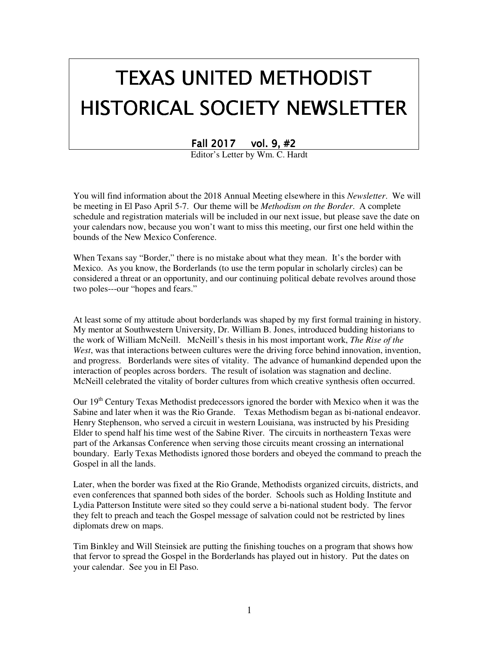# TEXAS UNITED METHODIST HISTORICAL SOCIETY NEWSLETTER

Fall  $2017$  vol. 9,  $#2$ 

Editor's Letter by Wm. C. Hardt

You will find information about the 2018 Annual Meeting elsewhere in this *Newsletter*. We will be meeting in El Paso April 5-7. Our theme will be *Methodism on the Border*. A complete schedule and registration materials will be included in our next issue, but please save the date on your calendars now, because you won't want to miss this meeting, our first one held within the bounds of the New Mexico Conference.

When Texans say "Border," there is no mistake about what they mean. It's the border with Mexico. As you know, the Borderlands (to use the term popular in scholarly circles) can be considered a threat or an opportunity, and our continuing political debate revolves around those two poles---our "hopes and fears."

At least some of my attitude about borderlands was shaped by my first formal training in history. My mentor at Southwestern University, Dr. William B. Jones, introduced budding historians to the work of William McNeill. McNeill's thesis in his most important work, *The Rise of the West*, was that interactions between cultures were the driving force behind innovation, invention, and progress. Borderlands were sites of vitality. The advance of humankind depended upon the interaction of peoples across borders. The result of isolation was stagnation and decline. McNeill celebrated the vitality of border cultures from which creative synthesis often occurred.

Our 19<sup>th</sup> Century Texas Methodist predecessors ignored the border with Mexico when it was the Sabine and later when it was the Rio Grande. Texas Methodism began as bi-national endeavor. Henry Stephenson, who served a circuit in western Louisiana, was instructed by his Presiding Elder to spend half his time west of the Sabine River. The circuits in northeastern Texas were part of the Arkansas Conference when serving those circuits meant crossing an international boundary. Early Texas Methodists ignored those borders and obeyed the command to preach the Gospel in all the lands.

Later, when the border was fixed at the Rio Grande, Methodists organized circuits, districts, and even conferences that spanned both sides of the border. Schools such as Holding Institute and Lydia Patterson Institute were sited so they could serve a bi-national student body. The fervor they felt to preach and teach the Gospel message of salvation could not be restricted by lines diplomats drew on maps.

Tim Binkley and Will Steinsiek are putting the finishing touches on a program that shows how that fervor to spread the Gospel in the Borderlands has played out in history. Put the dates on your calendar. See you in El Paso.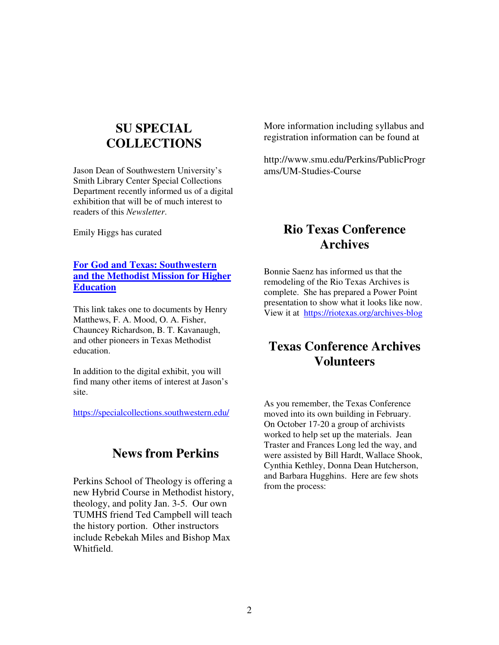## **SU SPECIAL COLLECTIONS**

Jason Dean of Southwestern University's Smith Library Center Special Collections Department recently informed us of a digital exhibition that will be of much interest to readers of this *Newsletter*.

Emily Higgs has curated

#### **For God and Texas: Southwestern and the Methodist Mission for Higher Education**

This link takes one to documents by Henry Matthews, F. A. Mood, O. A. Fisher, Chauncey Richardson, B. T. Kavanaugh, and other pioneers in Texas Methodist education.

In addition to the digital exhibit, you will find many other items of interest at Jason's site.

https://specialcollections.southwestern.edu/

## **News from Perkins**

Perkins School of Theology is offering a new Hybrid Course in Methodist history, theology, and polity Jan. 3-5. Our own TUMHS friend Ted Campbell will teach the history portion. Other instructors include Rebekah Miles and Bishop Max Whitfield.

More information including syllabus and registration information can be found at

http://www.smu.edu/Perkins/PublicProgr ams/UM-Studies-Course

## **Rio Texas Conference Archives**

Bonnie Saenz has informed us that the remodeling of the Rio Texas Archives is complete. She has prepared a Power Point presentation to show what it looks like now. View it at https://riotexas.org/archives-blog

## **Texas Conference Archives Volunteers**

As you remember, the Texas Conference moved into its own building in February. On October 17-20 a group of archivists worked to help set up the materials. Jean Traster and Frances Long led the way, and were assisted by Bill Hardt, Wallace Shook, Cynthia Kethley, Donna Dean Hutcherson, and Barbara Hugghins. Here are few shots from the process: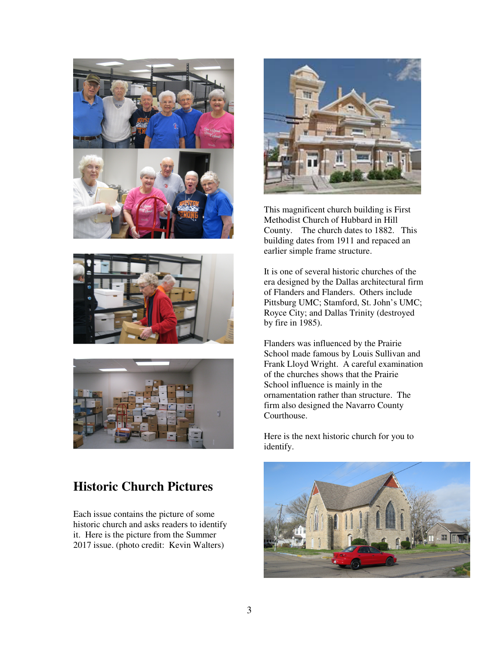





## **Historic Church Pictures**

Each issue contains the picture of some historic church and asks readers to identify it. Here is the picture from the Summer 2017 issue. (photo credit: Kevin Walters)



This magnificent church building is First Methodist Church of Hubbard in Hill County. The church dates to 1882. This building dates from 1911 and repaced an earlier simple frame structure.

It is one of several historic churches of the era designed by the Dallas architectural firm of Flanders and Flanders. Others include Pittsburg UMC; Stamford, St. John's UMC; Royce City; and Dallas Trinity (destroyed by fire in 1985).

Flanders was influenced by the Prairie School made famous by Louis Sullivan and Frank Lloyd Wright. A careful examination of the churches shows that the Prairie School influence is mainly in the ornamentation rather than structure. The firm also designed the Navarro County Courthouse.

Here is the next historic church for you to identify.

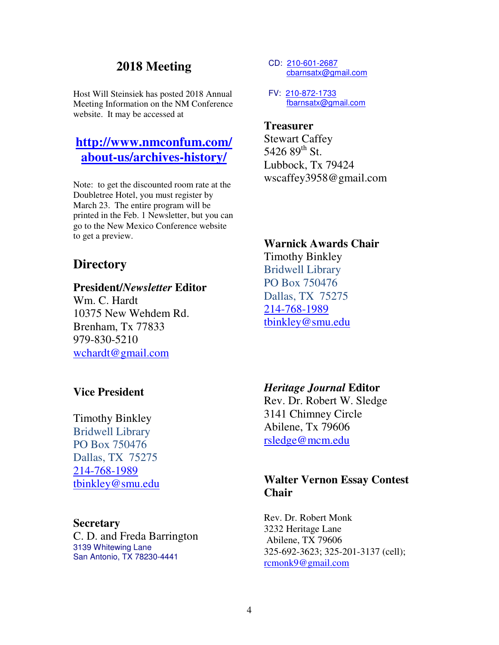## **2018 Meeting**

Host Will Steinsiek has posted 2018 Annual Meeting Information on the NM Conference website. It may be accessed at

## **http://www.nmconfum.com/ about-us/archives-history/**

Note: to get the discounted room rate at the Doubletree Hotel, you must register by March 23. The entire program will be printed in the Feb. 1 Newsletter, but you can go to the New Mexico Conference website to get a preview.

## **Directory**

#### **President/***Newsletter* **Editor**

Wm. C. Hardt 10375 New Wehdem Rd. Brenham, Tx 77833 979-830-5210 wchardt@gmail.com

#### **Vice President**

Timothy Binkley Bridwell Library PO Box 750476 Dallas, TX 75275 214-768-1989 tbinkley@smu.edu

#### **Secretary**

C. D. and Freda Barrington 3139 Whitewing Lane San Antonio, TX 78230-4441

- CD: 210-601-2687 cbarnsatx@gmail.com
- FV: 210-872-1733 fbarnsatx@gmail.com

### **Treasurer**

Stewart Caffey 5426 89<sup>th</sup> St. Lubbock, Tx 79424 wscaffey3958@gmail.com

#### **Warnick Awards Chair**

Timothy Binkley Bridwell Library PO Box 750476 Dallas, TX 75275 214-768-1989 tbinkley@smu.edu

#### *Heritage Journal* **Editor**

Rev. Dr. Robert W. Sledge 3141 Chimney Circle Abilene, Tx 79606 rsledge@mcm.edu

#### **Walter Vernon Essay Contest Chair**

Rev. Dr. Robert Monk 3232 Heritage Lane Abilene, TX 79606 325-692-3623; 325-201-3137 (cell); rcmonk9@gmail.com